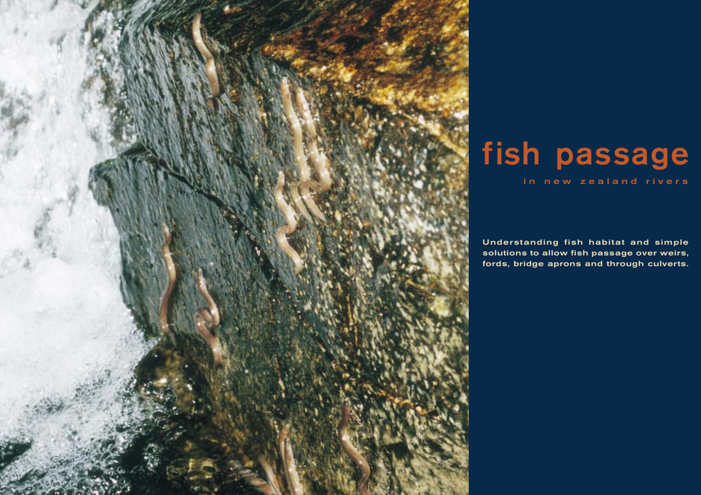

# **fish passage**

in new zealand rivers

**Understanding fish habitat and simple solutions to allow fish passage over weirs, fords, bridge aprons and through culverts.**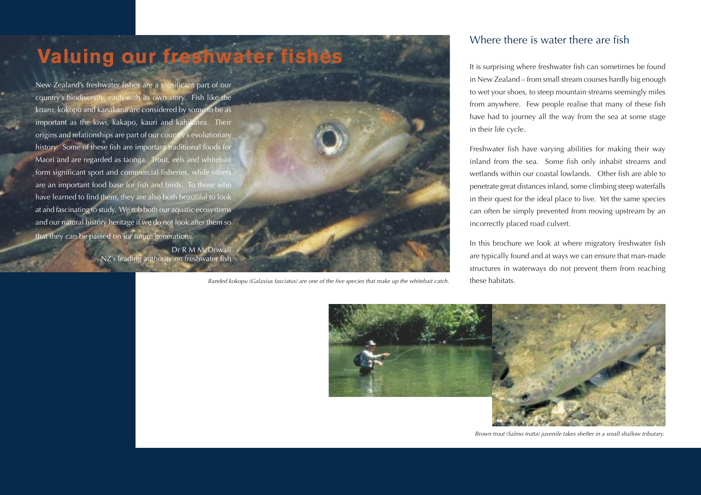

Banded kokopu (Galaxius fasciatus) are one of the five species that make up the whitebait catch.

### Where there is water there are fish

It is surprising where freshwater fish can sometimes be found in New Zealand – from small stream courses hardly big enough to wet your shoes, to steep mountain streams seemingly miles from anywhere. Few people realise that many of these fish have had to journey all the way from the sea at some stage in their life cycle.

Freshwater fish have varying abilities for making their way inland from the sea. Some fish only inhabit streams and wetlands within our coastal lowlands. Other fish are able to penetrate great distances inland, some climbing steep waterfalls in their quest for the ideal place to live. Yet the same species can often be simply prevented from moving upstream by an incorrectly placed road culvert.

In this brochure we look at where migratory freshwater fish are typically found and at ways we can ensure that man-made structures in waterways do not prevent them from reaching these habitats.



Brown trout (Salmo trutta) juvenile takes shelter in a small shallow tributary.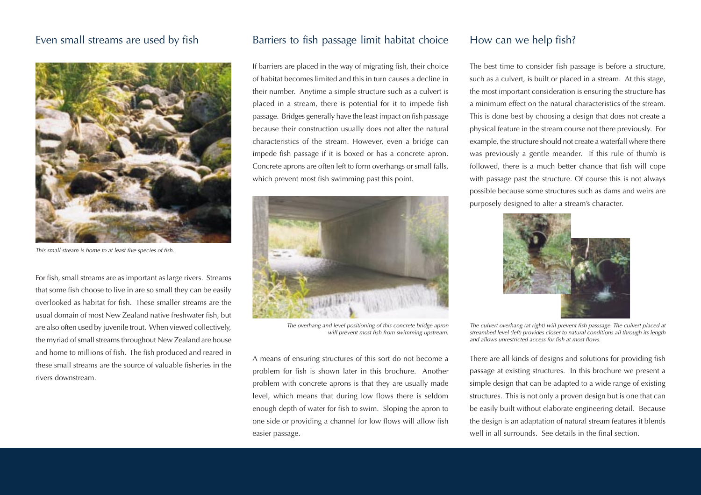### Even small streams are used by fish



This small stream is home to at least five species of fish.

For fish, small streams are as important as large rivers. Streams that some fish choose to live in are so small they can be easily overlooked as habitat for fish. These smaller streams are the usual domain of most New Zealand native freshwater fish, but are also often used by juvenile trout. When viewed collectively, the myriad of small streams throughout New Zealand are house and home to millions of fish. The fish produced and reared in these small streams are the source of valuable fisheries in the rivers downstream.

### Barriers to fish passage limit habitat choice

If barriers are placed in the way of migrating fish, their choice of habitat becomes limited and this in turn causes a decline in their number. Anytime a simple structure such as a culvert is placed in a stream, there is potential for it to impede fish passage. Bridges generally have the least impact on fish passage because their construction usually does not alter the natural characteristics of the stream. However, even a bridge can impede fish passage if it is boxed or has a concrete apron. Concrete aprons are often left to form overhangs or small falls, which prevent most fish swimming past this point.



The overhang and level positioning of this concrete bridge apron will prevent most fish from swimming upstream.

A means of ensuring structures of this sort do not become a problem for fish is shown later in this brochure. Another problem with concrete aprons is that they are usually made level, which means that during low flows there is seldom enough depth of water for fish to swim. Sloping the apron to one side or providing a channel for low flows will allow fish easier passage.

### How can we help fish?

The best time to consider fish passage is before a structure, such as a culvert, is built or placed in a stream. At this stage, the most important consideration is ensuring the structure has a minimum effect on the natural characteristics of the stream. This is done best by choosing a design that does not create a physical feature in the stream course not there previously. For example, the structure should not create a waterfall where there was previously a gentle meander. If this rule of thumb is followed, there is a much better chance that fish will cope with passage past the structure. Of course this is not always possible because some structures such as dams and weirs are purposely designed to alter a stream's character.



The culvert overhang (at right) will prevent fish passsage. The culvert placed at streambed level (left) provides closer to natural conditions all through its length and allows unrestricted access for fish at most flows.

There are all kinds of designs and solutions for providing fish passage at existing structures. In this brochure we present a simple design that can be adapted to a wide range of existing structures. This is not only a proven design but is one that can be easily built without elaborate engineering detail. Because the design is an adaptation of natural stream features it blends well in all surrounds. See details in the final section.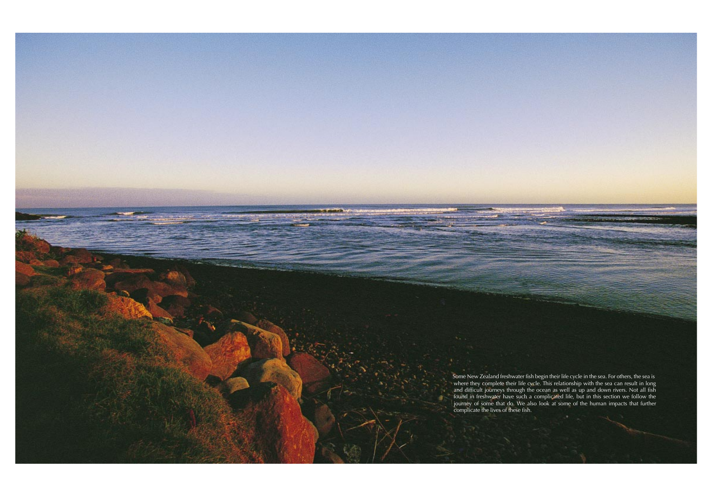Some New Zealand freshwater fish begin their life cycle in the sea. For others, the sea is where they complete their life cycle. This relationship with the sea can result in long and difficult journeys through the ocean as well as up and down rivers. Not all fish found in freshwater have such a complicated life, but in this section we follow the journey of some that do. We also look at some of the human impacts that further complicate the lives of these fish.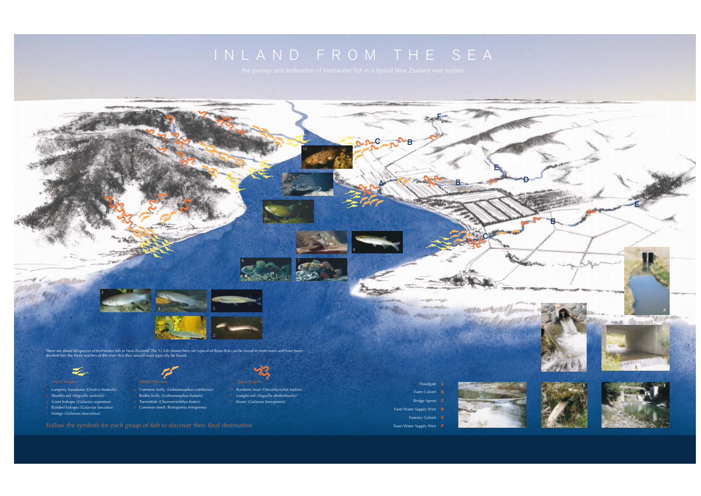

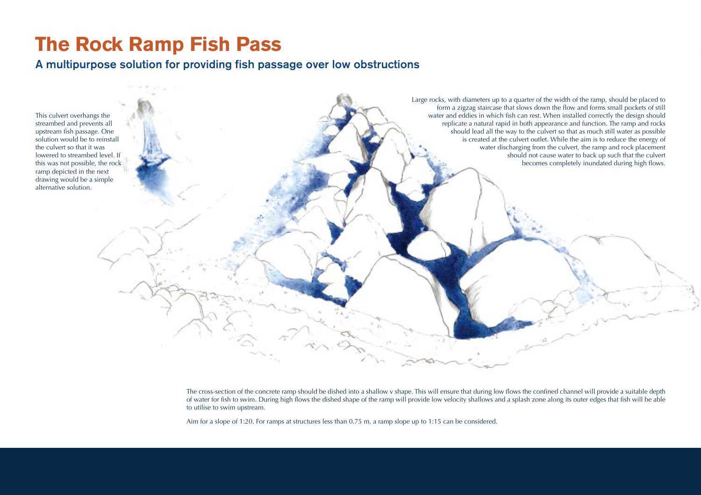## **The Rock Ramp Fish Pass**

### **A multipurpose solution for providing fish passage over low obstructions**



The cross-section of the concrete ramp should be dished into a shallow v shape. This will ensure that during low flows the confined channel will provide a suitable depth of water for fish to swim. During high flows the dished shape of the ramp will provide low velocity shallows and a splash zone along its outer edges that fish will be able to utilise to swim upstream.

Aim for a slope of 1:20. For ramps at structures less than 0.75 m, a ramp slope up to 1:15 can be considered.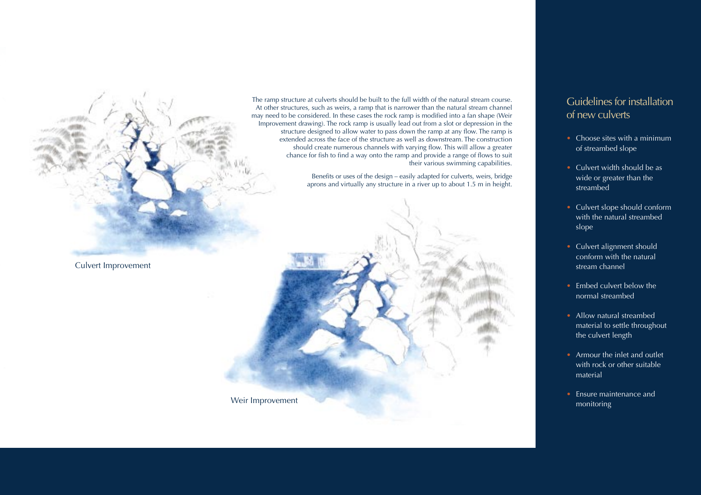The ramp structure at culverts should be built to the full width of the natural stream course. At other structures, such as weirs, a ramp that is narrower than the natural stream channel may need to be considered. In these cases the rock ramp is modified into a fan shape (Weir Improvement drawing). The rock ramp is usually lead out from a slot or depression in the structure designed to allow water to pass down the ramp at any flow. The ramp is extended across the face of the structure as well as downstream. The construction should create numerous channels with varying flow. This will allow a greater chance for fish to find a way onto the ramp and provide a range of flows to suit their various swimming capabilities.

> Benefits or uses of the design – easily adapted for culverts, weirs, bridge aprons and virtually any structure in a river up to about 1.5 m in height.



Weir Improvement

### Guidelines for installation of new culverts

- Choose sites with a minimum of streambed slope
- Culvert width should be as wide or greater than the streambed
- Culvert slope should conform with the natural streambed slope
- Culvert alignment should conform with the natural stream channel
- Embed culvert below the normal streambed
- Allow natural streambed material to settle throughout the culvert length
- Armour the inlet and outlet with rock or other suitable material
- Ensure maintenance and monitoring